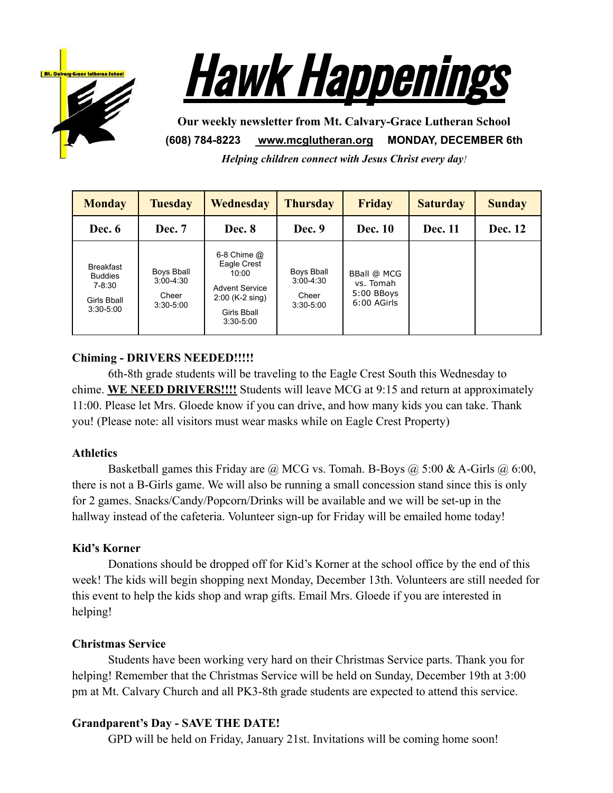



**Our weekly newsletter from Mt. Calvary-Grace Lutheran School (608) 784-8223 [www.mcglutheran.org](http://www.mcglutheran.org/) MONDAY, DECEMBER 6th**

*Helping children connect with Jesus Christ every day!*

| <b>Monday</b>                                                                | <b>Tuesday</b>                                        | Wednesday                                                                                                             | <b>Thursday</b>                                     | <b>Friday</b>                                                | <b>Saturday</b> | <b>Sunday</b> |
|------------------------------------------------------------------------------|-------------------------------------------------------|-----------------------------------------------------------------------------------------------------------------------|-----------------------------------------------------|--------------------------------------------------------------|-----------------|---------------|
| Dec. 6                                                                       | Dec. 7                                                | Dec. 8                                                                                                                | Dec. 9                                              | <b>Dec. 10</b>                                               | <b>Dec.</b> 11  | Dec. 12       |
| <b>Breakfast</b><br><b>Buddies</b><br>7-8:30<br>Girls Bball<br>$3:30 - 5:00$ | Boys Bball<br>$3:00 - 4:30$<br>Cheer<br>$3:30 - 5:00$ | $6-8$ Chime $@$<br>Eagle Crest<br>10:00<br><b>Advent Service</b><br>$2:00$ (K-2 sing)<br>Girls Bball<br>$3:30 - 5:00$ | Boys Bball<br>$3:00-4:30$<br>Cheer<br>$3:30 - 5:00$ | <b>BBall @ MCG</b><br>vs. Tomah<br>5:00 BBoys<br>6:00 AGirls |                 |               |

# **Chiming - DRIVERS NEEDED!!!!!**

6th-8th grade students will be traveling to the Eagle Crest South this Wednesday to chime. **WE NEED DRIVERS!!!!** Students will leave MCG at 9:15 and return at approximately 11:00. Please let Mrs. Gloede know if you can drive, and how many kids you can take. Thank you! (Please note: all visitors must wear masks while on Eagle Crest Property)

# **Athletics**

Basketball games this Friday are  $\omega$  MCG vs. Tomah. B-Boys  $\omega$  5:00 & A-Girls  $\omega$  6:00, there is not a B-Girls game. We will also be running a small concession stand since this is only for 2 games. Snacks/Candy/Popcorn/Drinks will be available and we will be set-up in the hallway instead of the cafeteria. Volunteer sign-up for Friday will be emailed home today!

# **Kid's Korner**

Donations should be dropped off for Kid's Korner at the school office by the end of this week! The kids will begin shopping next Monday, December 13th. Volunteers are still needed for this event to help the kids shop and wrap gifts. Email Mrs. Gloede if you are interested in helping!

## **Christmas Service**

Students have been working very hard on their Christmas Service parts. Thank you for helping! Remember that the Christmas Service will be held on Sunday, December 19th at 3:00 pm at Mt. Calvary Church and all PK3-8th grade students are expected to attend this service.

## **Grandparent's Day - SAVE THE DATE!**

GPD will be held on Friday, January 21st. Invitations will be coming home soon!